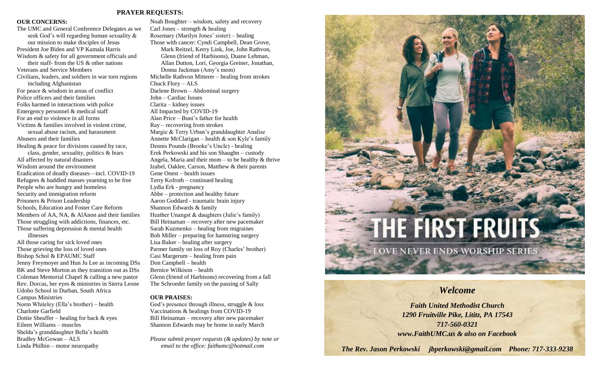#### **PRAYER REQUESTS:**

#### **OUR CONCERNS:**

The UMC and General Conference Delegates as we seek God's will regarding human sexuality & our mission to make disciples of Jesus President Joe Biden and VP Kamala Harris Wisdom & safety for all government officials and their staff- from the US & other nations Veterans and Service Members Civilians, leaders, and soldiers in war torn regions including Afghanistan For peace & wisdom in areas of conflict Police officers and their families Folks harmed in interactions with police Emergency personnel & medical staff For an end to violence in all forms Victims & families involved in violent crime, sexual abuse racism, and harassment Abusers and their families Healing & peace for divisions caused by race, class, gender, sexuality, politics & fears All affected by natural disasters Wisdom around the environment Eradication of deadly diseases—incl. COVID-19 Refugees & huddled masses yearning to be free People who are hungry and homeless Security and immigration reform Prisoners & Prison Leadership Schools, Education and Foster Care Reform Members of AA, NA, & AlAnon and their families Those struggling with addictions, finances, etc. Those suffering depression & mental health illnesses All those caring for sick loved ones Those grieving the loss of loved ones Bishop Schol & EPAUMC Staff Jenny Freymoyer and Hun Ju Lee as incoming DSs BK and Steve Morton as they transition out as DSs Coleman Memorial Chapel & calling a new pastor Rev. Dorcas, her eyes & ministries in Sierra Leone Udobo School in Durban, South Africa Campus Ministries Norm Whiteley (Ella's brother) – health Charlotte Garfield

Dottie Sheaffer – healing for back & eyes Eileen Williams – muscles Shelda's granddaughter Bella's health Bradley McGowan – ALS Linda Philbin – motor neuropathy

Noah Boughter – wisdom, safety and recovery Carl Jones – strength  $&$  healing Rosemary (Marilyn Jones' sister) – healing Those with cancer: Cyndi Campbell, Dean Grove, Mark Reitzel, Kerry Link, Joe, John Rathvon, Glenn (friend of Harbisons), Duane Lehman, Allan Dutton, Lori, Georgia Greiner, Jonathan, Donna Jackman (Amy's mom) Michelle Rathvon Mitterer – healing from strokes Chuck Flory – ALS Darlene Brown – Abdominal surgery John – Cardiac Issues Clarita – kidney issues All Impacted by COVID-19 Alan Price – Buni's father for health Ray – recovering from strokes Margie & Terry Urban's granddaughter Analise Annette McClarigan – health  $\&$  son Kyle's family Dennis Pounds (Brooke's Uncle) - healing Erek Perkowski and his son Shaughn – custody Angela, Maria and their mom – to be healthy  $\&$  thrive Izabel, Oaklee, Carson, Matthew & their parents Gene Onest – health issues Terry Kofroth – continued healing Lydia Erk - pregnancy Abbe – protection and healthy future Aaron Goddard - traumatic brain injury Shannon Edwards & family Heather Unangst & daughters (Julie's family) Bill Heinaman – recovery after new pacemaker Sarah Kuzmenko – healing from migraines Bob Miller – preparing for hamstring surgery Lisa Baker – healing after surgery Parmer family on loss of Roy (Charles' brother) Casi Margerum – healing from pain Don Campbell – health Bernice Wilkison – health Glenn (friend of Harbisons) recovering from a fall The Schroeder family on the passing of Sally

#### **OUR PRAISES:**

God's presence through illness, struggle & loss Vaccinations & healings from COVID-19 Bill Heinaman – recovery after new pacemaker Shannon Edwards may be home in early March

*Please submit prayer requests (& updates) by note or email to the office: faithumc@hotmail.com*



**LOVE NEVER ENDS WORSHIP SERIES** 

## *Welcome*

*Faith United Methodist Church 1290 Fruitville Pike, Lititz, PA 17543 717-560-0321 www.FaithUMC.us & also on Facebook*

*The Rev. Jason Perkowski jbperkowski@gmail.com Phone: 717-333-9238*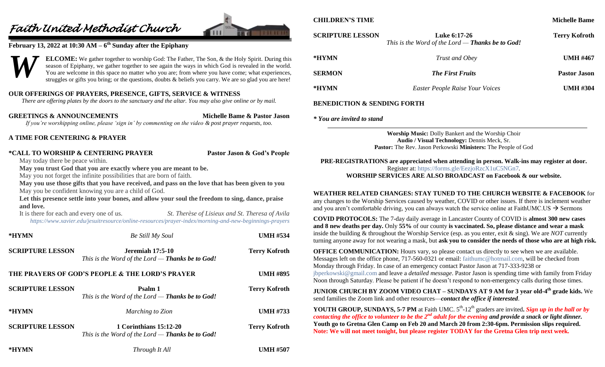# *Faith United Methodist Church*



## **February 13, 2022 at 10:30 AM – 6 th Sunday after the Epiphany**

**ELCOME:** We gather together to worship God: The Father, The Son, & the Holy Spirit. During this season of Epiphany, we gather together to see again the ways in which God is revealed in the world. You are welcome in this space no matter who you are; from where you have come; what experiences, struggles or gifts you bring; or the questions, doubts & beliefs you carry. We are so glad you are here! *W*

## **OUR OFFERINGS OF PRAYERS, PRESENCE, GIFTS, SERVICE & WITNESS**

*There are offering plates by the doors to the sanctuary and the altar. You may also give online or by mail.*

**GREETINGS & ANNOUNCEMENTS Michelle Bame & Pastor Jason** *If you're worshipping online, please 'sign in' by commenting on the video & post prayer requests, too.*

#### **A TIME FOR CENTERING & PRAYER**

#### **\*CALL TO WORSHIP & CENTERING PRAYER Pastor Jason & God's People**

May today there be peace within.

**May you trust God that you are exactly where you are meant to be.**

May you not forget the infinite possibilities that are born of faith.

**May you use those gifts that you have received, and pass on the love that has been given to you** May you be confident knowing you are a child of God.

**Let this presence settle into your bones, and allow your soul the freedom to sing, dance, praise and love.**

It is there for each and every one of us. *St. Therèse of Lisieux and St. Theresa of Avila <https://www.xavier.edu/jesuitresource/online-resources/prayer-index/morning-and-new-beginnings-prayers>*

| *HYMN                   | <b>Be Still My Soul</b>                                                             | <b>UMH #534</b>      |
|-------------------------|-------------------------------------------------------------------------------------|----------------------|
| <b>SCRIPTURE LESSON</b> | <b>Jeremiah 17:5-10</b><br>This is the Word of the Lord $-$ Thanks be to God!       | <b>Terry Kofroth</b> |
|                         | THE PRAYERS OF GOD'S PEOPLE & THE LORD'S PRAYER                                     | <b>UMH #895</b>      |
| <b>SCRIPTURE LESSON</b> | Psalm 1<br>This is the Word of the Lord $-$ Thanks be to God!                       | <b>Terry Kofroth</b> |
| *HYMN                   | Marching to Zion                                                                    | <b>UMH #733</b>      |
| <b>SCRIPTURE LESSON</b> | <b>1 Corinthians 15:12-20</b><br>This is the Word of the Lord $-$ Thanks be to God! | <b>Terry Kofroth</b> |

**\*HYMN** *Through It All* **UMH #507**

## **CHILDREN'S TIME Michelle Bame Michelle Bame**

**SCRIPTURE LESSON Luke 6:17-26 Terry Kofroth** *This is the Word of the Lord — Thanks be to God!* **\*HYMN** *Trust and Obey* **UMH #467 SERMON** *The First Fruits* **Pastor Jason \*HYMN** *Easter People Raise Your Voices* **UMH #304**

#### **BENEDICTION & SENDING FORTH**

*\* You are invited to stand*

**Worship Music:** Dolly Bankert and the Worship Choir **Audio / Visual Technology:** Dennis Meck, Sr. **Pastor:** The Rev. Jason Perkowski **Ministers:** The People of God

**PRE-REGISTRATIONS are appreciated when attending in person. Walk-ins may register at door.**  Register at:<https://forms.gle/EezjoRzcX1uC5NGn7>*.* **WORSHIP SERVICES ARE ALSO BROADCAST on Facebook & our website.**

## **WEATHER RELATED CHANGES: STAY TUNED TO THE CHURCH WEBSITE & FACEBOOK** for

any changes to the Worship Services caused by weather, COVID or other issues. If there is inclement weather and you aren't comfortable driving, you can always watch the service online at FaithUMC.US  $\rightarrow$  Sermons

**COVID PROTOCOLS:** The 7-day daily average in Lancaster County of COVID is **almost 300 new cases and 8 new deaths per day.** Only **55%** of our county **is vaccinated. So, please distance and wear a mask**  inside the building & throughout the Worship Service (esp. as you enter, exit & sing). We are *NOT* currently turning anyone away for not wearing a mask, but **ask you to consider the needs of those who are at high risk.**

**OFFICE COMMUNICATION:** Hours vary, so please contact us directly to see when we are available. Messages left on the office phone, 717-560-0321 or email: [faithumc@hotmail.com,](mailto:faithumc@hotmail.com) will be checked from Monday through Friday. In case of an emergency contact Pastor Jason at 717-333-9238 or [jbperkowski@gmail.com](mailto:jbperkowski@gmail.com) and leave a *detailed message*. Pastor Jason is spending time with family from Friday Noon through Saturday. Please be patient if he doesn't respond to non-emergency calls during those times.

**JUNIOR CHURCH BY ZOOM VIDEO CHAT – SUNDAYS AT 9 AM for 3 year old-4 th grade kids.** We send families the Zoom link and other resources—*contact the office if interested*.

**YOUTH GROUP, SUNDAYS, 5-7 PM** at Faith UMC.  $5<sup>th</sup>$ -12<sup>th</sup> graders are invited. Sign up in the hall or by contacting the office to volunteer to be the 2<sup>nd</sup> adult for the evening and provide a snack or light dinner. **Youth go to Gretna Glen Camp on Feb 20 and March 20 from 2:30-6pm. Permission slips required. Note: We will not meet tonight, but please register TODAY for the Gretna Glen trip next week.**